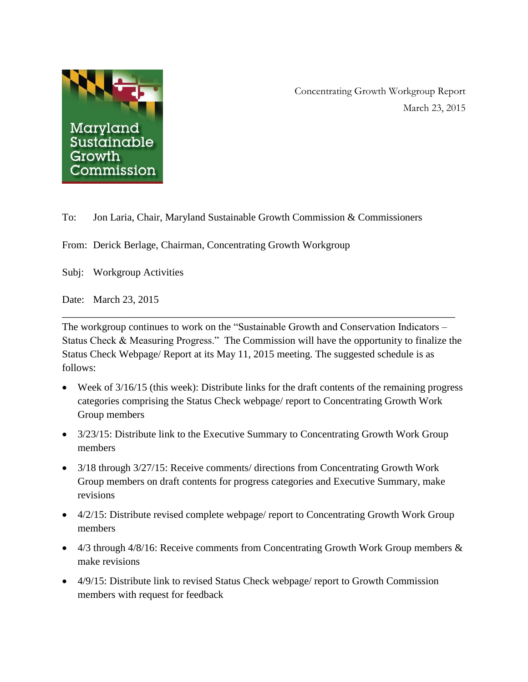

Concentrating Growth Workgroup Report March 23, 2015

To: Jon Laria, Chair, Maryland Sustainable Growth Commission & Commissioners

From: Derick Berlage, Chairman, Concentrating Growth Workgroup

Subj: Workgroup Activities

Date: March 23, 2015

The workgroup continues to work on the "Sustainable Growth and Conservation Indicators – Status Check & Measuring Progress." The Commission will have the opportunity to finalize the Status Check Webpage/ Report at its May 11, 2015 meeting. The suggested schedule is as follows:

\_\_\_\_\_\_\_\_\_\_\_\_\_\_\_\_\_\_\_\_\_\_\_\_\_\_\_\_\_\_\_\_\_\_\_\_\_\_\_\_\_\_\_\_\_\_\_\_\_\_\_\_\_\_\_\_\_\_\_\_\_\_\_\_\_\_\_\_\_\_\_\_\_\_\_\_

- Week of 3/16/15 (this week): Distribute links for the draft contents of the remaining progress categories comprising the Status Check webpage/ report to Concentrating Growth Work Group members
- 3/23/15: Distribute link to the Executive Summary to Concentrating Growth Work Group members
- 3/18 through 3/27/15: Receive comments/ directions from Concentrating Growth Work Group members on draft contents for progress categories and Executive Summary, make revisions
- 4/2/15: Distribute revised complete webpage/ report to Concentrating Growth Work Group members
- 4/3 through 4/8/16: Receive comments from Concentrating Growth Work Group members  $\&$ make revisions
- 4/9/15: Distribute link to revised Status Check webpage/ report to Growth Commission members with request for feedback